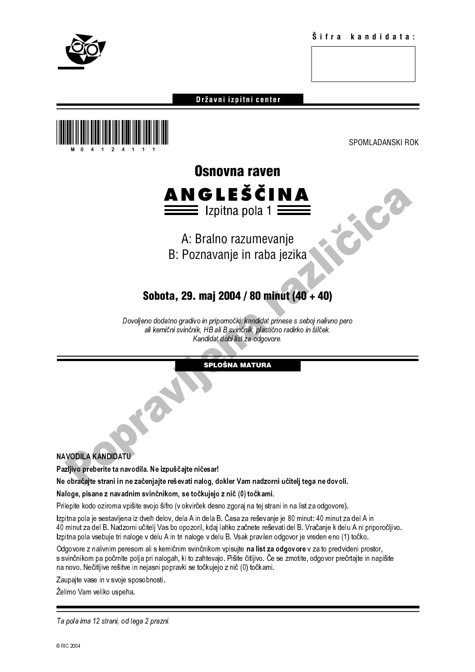

### Državni izpitni center



Eich

# Osnovna raven **ANGLEŠČINA**<br>== Izpitna pola 1

A: Bralno razumevanje B: Poznavanje in raba jezika

### Sobota, 29. maj 2004 / 80 minut (40 + 40)

Dovoljeno dodatno gradivo in pripomočki: kandidat prinese s seboj nalivno pero ali kemični svinčnik, HB ali B svinčnik, plastično radirko in šilček. Kandidat dobi list za odgovore. ١

### SPLOŠNA MATURA

### NAVODILA KANDIDATU

Pazljivo preberite ta navodila. Ne izpuščajte ničesar!

Ne obračajte strani in ne začenjajte reševati nalog, dokler Vam nadzorni učitelj tega ne dovoli.

Naloge, pisane z navadnim svinčnikom, se točkujejo z nič (0) točkami.

Prilepite kodo oziroma vpišite svojo šifro (v okvirček desno zgoraj na tej strani in na list za odgovore).

Izpitna pola je sestavljena iz dveh delov, dela A in dela B. Časa za reševanje je 80 minut: 40 minut za del A in 40 minut za del B. Nadzorni učitelj Vas bo opozoril, kdaj lahko začnete reševati del B. Vračanje k delu A ni priporočljivo. Izpitna pola vsebuje tri naloge v delu A in tri naloge v delu B. Vsak pravilen odgovor je vreden eno (1) točko.

oli kemični svinčnik, HB ali B svinčnik, plastično radirko in śilček.<br>
Kandidat dobi list za odgovore.<br>
SPLOSNA MATURA<br>
SPLOSNA MATURA<br>
Dovoli ali ke izpuščajte ničesar!<br>
Dovoli ke izpuščajte ničesar!<br>
Vipilis vojo širo ( Kandidat dobi list za odgovore.<br>
SPLOŠNA MATURA<br>
ali ke izpuščajte ničesarl<br>
emiajte reševati nalog, dokler Vam nadzorni učitelj tega ne do<br>
svinčnikom, se točkujejo z nič (0) točkami.<br>
svojo šíro (v okvirček desno zgoraj SPLOŠNA MATURA<br>
ničesar!<br>
nalog, dokler Vam nadzorni<br>
iočkujejo z nič (0) točkami.<br>
irček desno zgoraj na tej strani<br>
in dela B. Časa za reševanje j<br>
opril, kdaj lahko začnete reševa<br>
oge v delu B. Vsak pravilen od<br>
vinčni Odgovore z nalivnim peresom ali s kemičnim svinčnikom vpisujte na list za odgovore v za to predvideni prostor, s svinčnikom pa počrnite polja pri nalogah, ki to zahtevajo. Pišite čitljivo. Če se zmotite, odgovor prečrtajte in napišite na novo. Nečitljive rešitve in nejasni popravki se točkujejo z nič (0) točkami.

Zaupajte vase in v svoje sposobnosti.

Želimo Vam veliko uspeha.

Ta pola ima 12 strani, od tega 2 prazni.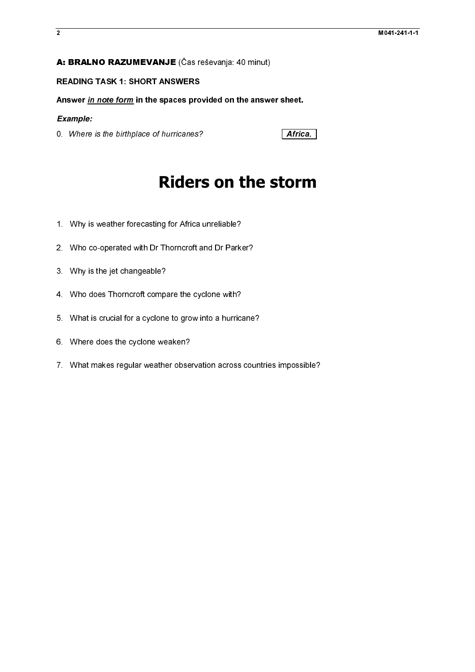# A: BRALNO RAZUMEVANJE (Čas reševanja: 40 minut)<br>READING TASK 1: SHORT ANSWERS<br>Answer in note form in the spaces provided on the answer<br>Example:<br>O. Where is the birthplace of hurricanes?<br>Note is the birthplace of hurricanes

Market *in note form* in the spaces pro<br> **Example:**<br>
0. Where is the birthplace of hurricanes?<br> **Rider:**<br>
1. Why is weather forecasting for Africa<br>
2. Who co-operated with Dr Thorncroft a<br>
3. Why is the jet changeable?<br>
4. A  $\overline{A}$  control  $\overline{A}$  and  $\overline{A}$  and  $\overline{A}$  and  $\overline{A}$  and  $\overline{A}$  and  $\overline{A}$  and  $\overline{A}$  and  $\overline{A}$  and  $\overline{A}$  and  $\overline{A}$  and  $\overline{A}$  and  $\overline{A}$  and  $\overline{A}$  and  $\overline{A}$  and  $\overline{A}$  and  $\overline{A}$ 

### *Example:*

# Answer <u>in note form</u> in the spaces provided on the answer sheet.<br>
Example:<br>
0. Where is the birthplace of hurricanes?<br> **Riders on the storm**<br>
1. Why is weather forecasting for Africa unreliable?<br>
2. Who co-operated with D 0. Where is the birthplace of hurricanes?<br> **Riders on the storm**<br>
1. Why is weather forecasting for Africa unreliable?<br>
2. Who co-operated with Dr Thomcroft and Dr Parker?<br>
3. Why is the jet changeable?<br>
4. Who does Thomcr Riders on the storm

- 1. Why is weather forecasting for Africa unreliable?
- 2. Who co-operated with Dr Thorncroft and Dr Parker?
- $\frac{1}{2}$   $\frac{1}{2}$   $\frac{1}{2}$   $\frac{1}{2}$   $\frac{1}{2}$   $\frac{1}{2}$   $\frac{1}{2}$   $\frac{1}{2}$   $\frac{1}{2}$   $\frac{1}{2}$   $\frac{1}{2}$   $\frac{1}{2}$   $\frac{1}{2}$   $\frac{1}{2}$   $\frac{1}{2}$   $\frac{1}{2}$   $\frac{1}{2}$   $\frac{1}{2}$   $\frac{1}{2}$   $\frac{1}{2}$   $\frac{1}{2}$   $\frac{1}{2}$  3. Why is the jet changeable?
- 4. Who does Thorncroft compare the cyclone with?
- 5. What is crucial for a cyclone to grow into a hurricane?
- 6. Where does the cyclone weaken?
- 7. What makes regular weather observation across countries impossible?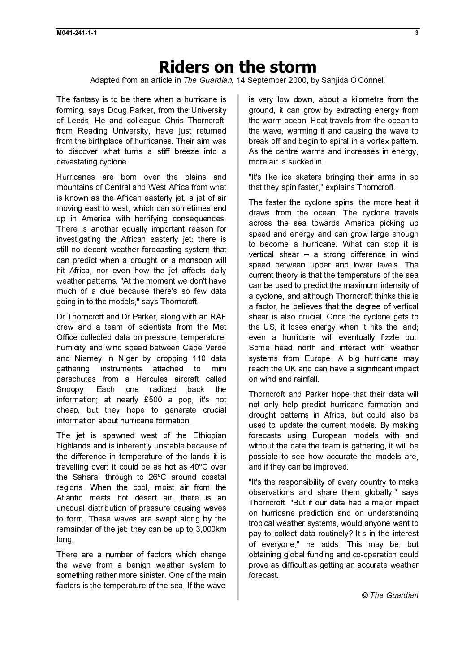## Riders on the storm

Adapted from an article in The Guardian, 14 September 2000, by Sanjida O'Connell 

The fantasy is to be there when a hurricane is forming, says Doug Parker, from the University of Leeds. He and colleague Chris Thorncroft, from Reading University, have just returned from the birthplace of hurricanes. Their aim was to discover what turns a stiff breeze into a devastating cyclone.

Hurricanes are born over the plains and mountains of Central and West Africa from what is known as the African easterly jet, a jet of air moving east to west, which can sometimes end up in America with horrifying consequences. There is another equally important reason for investigating the African easterly jet: there is still no decent weather forecasting system that can predict when a drought or a monsoon will hit Africa, nor even how the jet affects daily weather patterns. "At the moment we don't have much of a clue because there's so few data going in to the models," says Thorncroft.

Dr Thorncroft and Dr Parker, along with an RAF crew and a team of scientists from the Met Office collected data on pressure, temperature, humidity and wind speed between Cape Verde and Niamey in Niger by dropping 110 data gathering instruments attached to mini parachutes from a Hercules aircraft called Snoopy. Each one radioed back the information; at nearly £500 a pop, it's not cheap, but they hope to generate crucial information about hurricane formation.

The jet is spawned west of the Ethiopian highlands and is inherently unstable because of the difference in temperature of the lands it is travelling over: it could be as hot as 40ºC over the Sahara, through to 26ºC around coastal regions. When the cool, moist air from the Atlantic meets hot desert air, there is an unequal distribution of pressure causing waves to form. These waves are swept along by the remainder of the jet: they can be up to 3,000km long.

There are a number of factors which change the wave from a benign weather system to something rather more sinister. One of the main factors is the temperature of the sea. If the wave is very low down, about a kilometre from the ground, it can grow by extracting energy from the warm ocean. Heat travels from the ocean to the wave, warming it and causing the wave to break off and begin to spiral in a vortex pattern. As the centre warms and increases in energy, more air is sucked in.

"It's like ice skaters bringing their arms in so that they spin faster," explains Thorncroft.

The faster the cyclone spins, the more heat it draws from the ocean. The cyclone travels across the sea towards America picking up speed and energy and can grow large enough to become a hurricane. What can stop it is vertical shear – a strong difference in wind speed between upper and lower levels. The current theory is that the temperature of the sea can be used to predict the maximum intensity of a cyclone, and although Thorncroft thinks this is a factor, he believes that the degree of vertical shear is also crucial. Once the cyclone gets to the US, it loses energy when it hits the land; even a hurricane will eventually fizzle out. Some head north and interact with weather systems from Europe. A big hurricane may reach the UK and can have a significant impact on wind and rainfall.

Thorncroft and Parker hope that their data will not only help predict hurricane formation and drought patterns in Africa, but could also be used to update the current models. By making forecasts using European models with and without the data the team is gathering, it will be possible to see how accurate the models are, and if they can be improved.

"It's the responsibility of every country to make observations and share them globally," says Thorncroft. "But if our data had a major impact on hurricane prediction and on understanding tropical weather systems, would anyone want to pay to collect data routinely? It's in the interest of everyone," he adds. This may be, but obtaining global funding and co-operation could prove as difficult as getting an accurate weather forecast.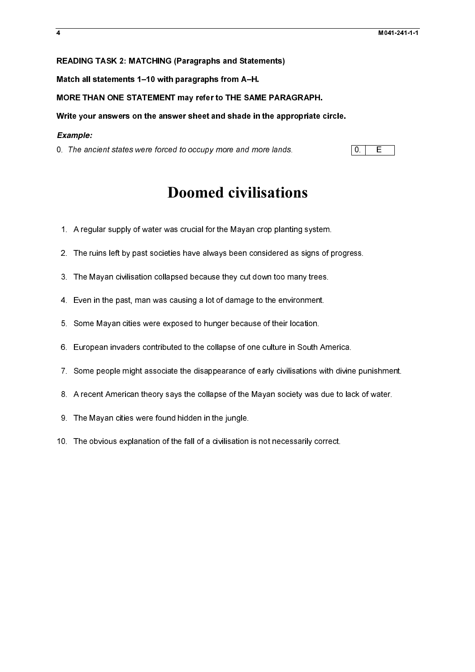READING TASK 2: MATCHING (Paragraphs and Statements)

Match all statements 1–10 with paragraphs from A–H.

MORE THAN ONE STATEMENT may refer to THE SAME PARAGRAPH.

Write your answers on the answer sheet and shade in the appropriate circle.

### *Example:*

0. The ancient states were forced to occupy more and more lands. 0. E

# Doomed civilisations

- 1. A regular supply of water was crucial for the Mayan crop planting system.
- 2. The ruins left by past societies have always been considered as signs of progress.
- 3. The Mayan civilisation collapsed because they cut down too many trees.
- 4. Even in the past, man was causing a lot of damage to the environment.
- 5. Some Mayan cities were exposed to hunger because of their location.
- 6. European invaders contributed to the collapse of one culture in South America.
- 7. Some people might associate the disappearance of early civilisations with divine punishment.
- 8. A recent American theory says the collapse of the Mayan society was due to lack of water.
- 9. The Mayan cities were found hidden in the jungle.
- 10. The obvious explanation of the fall of a civilisation is not necessarily correct.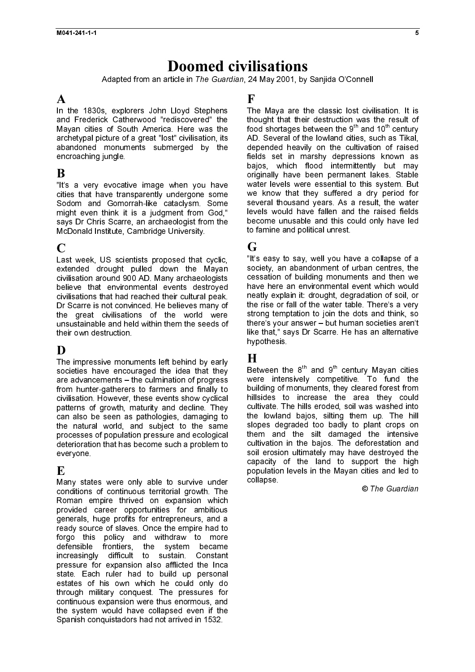### Doomed civilisations

Adapted from an article in The Guardian, 24 May 2001, by Sanjida O'Connell

### A

In the 1830s, explorers John Lloyd Stephens and Frederick Catherwood "rediscovered" the Mayan cities of South America. Here was the archetypal picture of a great "lost" civilisation, its abandoned monuments submerged by the encroaching jungle.

### B

"It's a very evocative image when you have cities that have transparently undergone some Sodom and Gomorrah-like cataclysm. Some might even think it is a judgment from God," says Dr Chris Scarre, an archaeologist from the McDonald Institute, Cambridge University.

### $\mathbf C$

Last week, US scientists proposed that cyclic, extended drought pulled down the Mayan civilisation around 900 AD. Many archaeologists believe that environmental events destroyed civilisations that had reached their cultural peak. Dr Scarre is not convinced. He believes many of the great civilisations of the world were unsustainable and held within them the seeds of their own destruction.

### D

The impressive monuments left behind by early societies have encouraged the idea that they are advancements – the culmination of progress from hunter-gatherers to farmers and finally to civilisation. However, these events show cyclical patterns of growth, maturity and decline. They can also be seen as pathologies, damaging to the natural world, and subject to the same processes of population pressure and ecological deterioration that has become such a problem to everyone.

### E

Many states were only able to survive under conditions of continuous territorial growth. The Roman empire thrived on expansion which provided career opportunities for ambitious generals, huge profits for entrepreneurs, and a ready source of slaves. Once the empire had to forgo this policy and withdraw to more defensible frontiers, the system became increasingly difficult to sustain. Constant pressure for expansion also afflicted the Inca state. Each ruler had to build up personal estates of his own which he could only do through military conquest. The pressures for continuous expansion were thus enormous, and the system would have collapsed even if the Spanish conquistadors had not arrived in 1532.

### $\mathbf F$

The Maya are the classic lost civilisation. It is thought that their destruction was the result of food shortages between the  $9<sup>th</sup>$  and  $10<sup>th</sup>$  century AD. Several of the lowland cities, such as Tikal, depended heavily on the cultivation of raised fields set in marshy depressions known as bajos, which flood intermittently but may originally have been permanent lakes. Stable water levels were essential to this system. But we know that they suffered a dry period for several thousand years. As a result, the water levels would have fallen and the raised fields become unusable and this could only have led to famine and political unrest.

### G

"It's easy to say, well you have a collapse of a society, an abandonment of urban centres, the cessation of building monuments and then we have here an environmental event which would neatly explain it: drought, degradation of soil, or the rise or fall of the water table. There's a very strong temptation to join the dots and think, so there's your answer – but human societies aren't like that," says Dr Scarre. He has an alternative hypothesis.

### $H$

Between the  $8^{th}$  and  $9^{th}$  century Mayan cities were intensively competitive. To fund the building of monuments, they cleared forest from hillsides to increase the area they could cultivate. The hills eroded, soil was washed into the lowland bajos, silting them up. The hill slopes degraded too badly to plant crops on them and the silt damaged the intensive cultivation in the bajos. The deforestation and soil erosion ultimately may have destroyed the capacity of the land to support the high population levels in the Mayan cities and led to collapse.

© The Guardian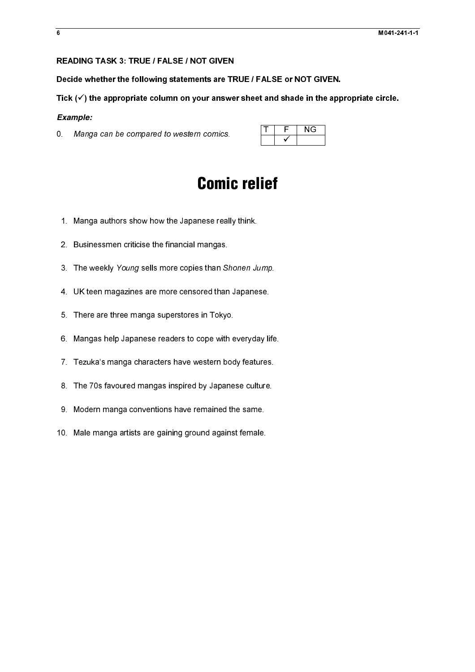### READING TASK 3: TRUE / FALSE / NOT GIVEN

Decide whether the following statements are TRUE / FALSE or NOT GIVEN.

### Tick  $(\checkmark)$  the appropriate column on your answer sheet and shade in the appropriate circle.

### *Example:*

 $\overline{0}$ Manga can be compared to western comics.

# Comic relief

- 1. Manga authors show how the Japanese really think.
- 2. Businessmen criticise the financial mangas.
- 3. The weekly Young sells more copies than Shonen Jump.
- 4. UK teen magazines are more censored than Japanese.
- 5. There are three manga superstores in Tokyo.
- 0. Manga can be compared to western comics.<br>
COMIC relief<br>
1. Manga authors show how the Japanese really think.<br>
2. Businessmen criticise the financial mangas.<br>
3. The weekly Young sells more consored than Shonen Jump.<br>
4. 6. Mangas help Japanese readers to cope with everyday life.
- 7. Tezuka's manga characters have western body features.
- 8. The 70s favoured mangas inspired by Japanese culture.
- 9. Modern manga conventions have remained the same.
- 2. Businessmen criticise the financial mangas.<br>
1. The weekly Young sells more copies than *Shonen J*<br>
1. UK teen magazines are more censored than Japane<br>
5. There are three manga superstores in Tokyo.<br>
1. Mangas help Japa 2. Business Manuscal manuscal manuscal manuscal<br>3. The weekly Young sells more consored than<br>5. There are three manga superstores in Toky<br>6. Mangas help Japanese readers to cope with<br>7. Tezuka's manga characters have weste 3. UK teen magazines are more censored than Japanese.<br>5. There are three manga superstores in Tokyo.<br>6. Mangas help Japanese readers to cope with everyday life<br>7. Tezuka's manga characters have western body features.<br>8. Th 4. There are three manga superstores in Tokyo.<br>
4. Mangas help Japanese readers to cope with everyday life 7. Tezuka's manga characters have western body features<br>
4. The 70s favoured mangas inspired by Japanese culture.<br> 5. Mangas help Japanese readers to cope with e<br>7. Tezuka's manga characters have western bod<br>8. The 70s favoured mangas inspired by Japane<br>9. Modern manga conventions have remained th<br>10. Male manga artists are gaining gro Figure 1. The Tos favoured mangas inspired by Japanese culture.<br>
6. The 70s favoured mangas inspired by Japanese culture.<br>
9. Modern manga conventions have remained the same.<br>
10. Male manga artists are gaining ground agai 7. Tezuka's manga characters have western body features.<br>8. The 70s favoured mangas inspired by Japanese culture.<br>9. Modern manga conventions have remained the same.<br>10. Male manga artists are gaining ground against female 9. Modern manga conventions have remained the same.<br>10. Male manga artists are gaining ground against female. 9. Male manga artists are gaining ground against female.<br>10. Male manga artists are gaining ground against female. 10. Male manga artists are gaining ground against female. 10. Male manga artists are gaining ground against female.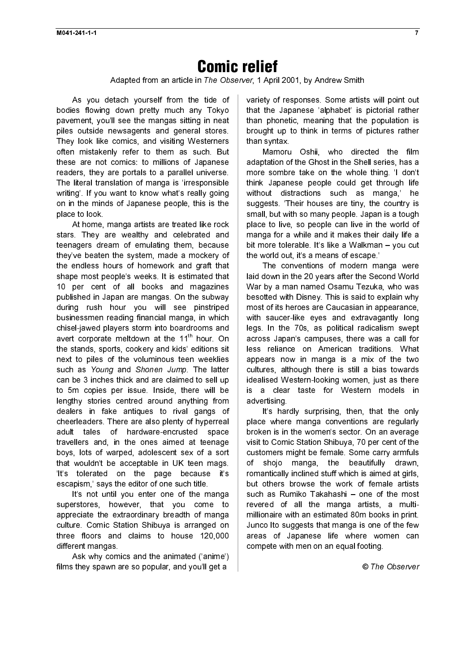### Comic relief

Adapted from an article in The Observer, 1 April 2001, by Andrew Smith

As you detach yourself from the tide of bodies flowing down pretty much any Tokyo pavement, you'll see the mangas sitting in neat piles outside newsagents and general stores. They look like comics, and visiting Westerners often mistakenly refer to them as such. But these are not comics: to millions of Japanese readers, they are portals to a parallel universe. The literal translation of manga is 'irresponsible writing'. If you want to know what's really going on in the minds of Japanese people, this is the place to look.

Adapted from an article in The Observer, 1 April 2001, by Andrew Smith<br>Hash down pretty much any Tokyo Inta the Japanese "a phats the studies"<br>down pretty much any Tokyo Inta the Japanese "a phats the studies"<br>someons, an At home, manga artists are treated like rock stars. They are wealthy and celebrated and teenagers dream of emulating them, because they've beaten the system, made a mockery of the endless hours of homework and graft that shape most people's weeks. It is estimated that 10 per cent of all books and magazines published in Japan are mangas. On the subway during rush hour you will see pinstriped businessmen reading financial manga, in which chisel-jawed players storm into boardrooms and avert corporate meltdown at the 11<sup>th</sup> hour. On the stands, sports, cookery and kids' editions sit next to piles of the voluminous teen weeklies such as Young and Shonen Jump. The latter such as *Young* and *Shonen Jump*. The latter<br>can be 3 inches thick and are claimed to sell up<br>to 5m copies per issue. Inside, there will be<br>lengthy stories centred around anything from<br>dealers in fake antiques to rival ga can be 3 inches thick and are claimed to sell up to 5m copies per issue. Inside, there will be lengthy stories centred around anything from dealers in fake antiques to rival gangs of cheerleaders. There are also plenty of hyperreal adult tales of hardware-encrusted space travellers and, in the ones aimed at teenage boys, lots of warped, adolescent sex of a sort that wouldn't be acceptable in UK teen mags. 'It's tolerated on the page because it's escapism,' says the editor of one such title.

It's not until you enter one of the manga superstores, however, that you come to appreciate the extraordinary breadth of manga culture. Comic Station Shibuya is arranged on three floors and claims to house 120,000 different mangas.

Ask why comics and the animated ('anime') films they spawn are so popular, and you'll get a

variety of responses. Some artists will point out that the Japanese 'alphabet' is pictorial rather than phonetic, meaning that the population is brought up to think in terms of pictures rather than syntax.

Mamoru Oshii, who directed the film adaptation of the Ghost in the Shell series, has a more sombre take on the whole thing. 'I don't think Japanese people could get through life without distractions such as manga,' he suggests. 'Their houses are tiny, the country is small, but with so many people. Japan is a tough place to live, so people can live in the world of manga for a while and it makes their daily life a bit more tolerable. It's like a Walkman – you cut the world out, it's a means of escape.'

The conventions of modern manga were laid down in the 20 years after the Second World War by a man named Osamu Tezuka, who was besotted with Disney. This is said to explain why most of its heroes are Caucasian in appearance, with saucer-like eyes and extravagantly long legs. In the 70s, as political radicalism swept across Japan's campuses, there was a call for less reliance on American traditions. What appears now in manga is a mix of the two cultures, although there is still a bias towards idealised Western-looking women, just as there is a clear taste for Western models in advertising.

It's hardly surprising, then, that the only place where manga conventions are regularly broken is in the women's sector. On an average visit to Comic Station Shibuya, 70 per cent of the customers might be female. Some carry armfuls of shojo manga, the beautifully drawn, romantically inclined stuff which is aimed at girls, but others browse the work of female artists such as Rumiko Takahashi – one of the most revered of all the manga artists, a multimillionaire with an estimated 80m books in print. Junco Ito suggests that manga is one of the few areas of Japanese life where women can compete with men on an equal footing.

> © The Observer © The Observer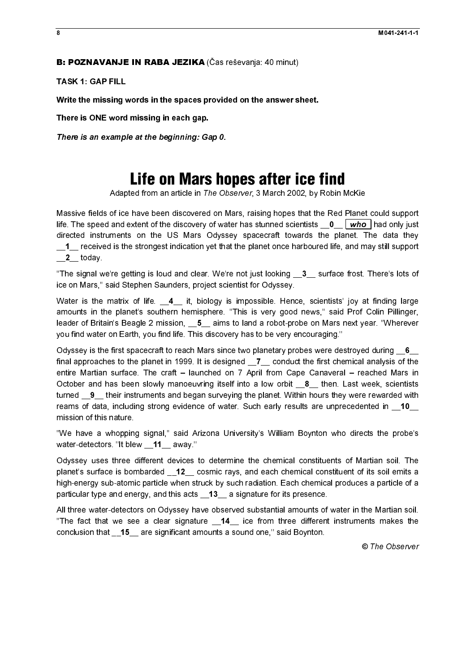TASK 1: GAP FILL

Write the missing words in the spaces provided on the answer sheet.

There is ONE word missing in each gap.

### Life on Mars hopes after ice find

Adapted from an article in The Observer, 3 March 2002, by Robin McKie

Massive fields of ice have been discovered on Mars, raising hopes that the Red Planet could support directed instruments on the US Mars Odyssey spacecraft towards the planet. The data they 1 received is the strongest indication yet that the planet once harboured life, and may still support 2 today.

"The signal we're getting is loud and clear. We're not just looking \_\_3\_\_ surface frost. There's lots of ice on Mars,'' said Stephen Saunders, project scientist for Odyssey.

Water is the matrix of life. \_\_4\_\_ it, biology is impossible. Hence, scientists' joy at finding large amounts in the planet's southern hemisphere. "This is very good news," said Prof Colin Pillinger, leader of Britain's Beagle 2 mission, \_\_5\_\_ aims to land a robot-probe on Mars next year. "Wherever you find water on Earth, you find life. This discovery has to be very encouraging.''

**B: POZNAVANJE IN RABA JEZIKA** (Čas reševanja: 40 minut)<br>TASK 1: GAP FILL<br>Write the missing words in the spaces provided on the answers<br>There is ONE word missing in each gap.<br>There is an example at the beginning: Gap 0.<br>Th There is an example at the beginning: Gap 0.<br>
Life on Mars in Gap 1<br>
Adapted from an article in The Ob<br>
Massive fields of ice have been discovery of wa<br>
life. The speed and extent of the discovery of wa<br>
directed instrume life. The speed and extent of the discovery of water has stunned scenarios  $\underline{u} = \underline{u}$  model. The speed and extent of the discovery of water has studies and the planet computer is the planet only in the planet only in Odyssey is the first spacecraft to reach Mars since two planetary probes were destroyed during 6 final approaches to the planet in 1999. It is designed \_\_7\_\_ conduct the first chemical analysis of the entire Martian surface. The craft – launched on 7 April from Cape Canaveral – reached Mars in October and has been slowly manoeuvring itself into a low orbit \_\_8\_\_ then. Last week, scientists turned **9**\_ their instruments and began surveying the planet. Within hours they were rewarded with reams of data, including strong evidence of water. Such early results are unprecedented in 10 mission of this nature.

''We have a whopping signal,'' said Arizona University's William Boynton who directs the probe's water-detectors. "It blew \_\_11\_\_ away."

Odyssey uses three different devices to determine the chemical constituents of Martian soil. The planet's surface is bombarded 12 cosmic rays, and each chemical constituent of its soil emits a high-energy sub-atomic particle when struck by such radiation. Each chemical produces a particle of a particular type and energy, and this acts **13** a signature for its presence.

All three water-detectors on Odyssey have observed substantial amounts of water in the Martian soil. "The fact that we see a clear signature 14 ice from three different instruments makes the conclusion that \_\_15\_ are significant amounts a sound one," said Boynton.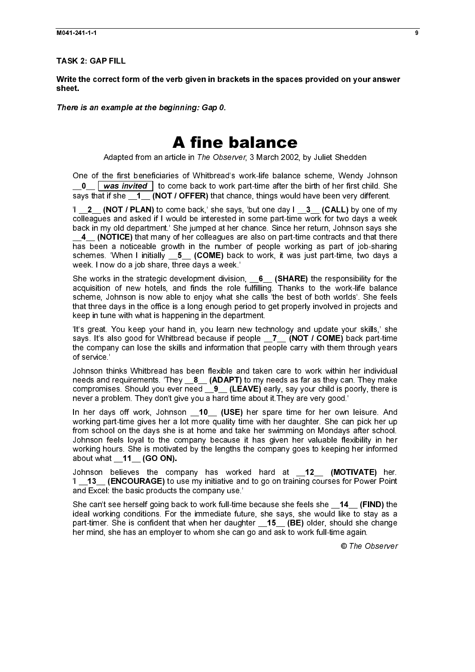TASK 2: GAP FILL

Write the correct form of the verb given in brackets in the spaces provided on your answer sheet.

There is an example at the beginning: Gap 0.

### A fine balance

Adapted from an article in The Observer, 3 March 2002, by Juliet Shedden

One of the first beneficiaries of Whitbread's work-life balance scheme, Wendy Johnson says that if she  $\overline{\phantom{a}}$  (NOT / OFFER) that chance, things would have been very different.

There is an example at the beginning: Gap 0.<br>  $\bigoplus$  Adapted from an article in The Obs<br>
One of the first beneficiaties of Whitterea.<br>  $\bigoplus$  Martist here  $\bigoplus$  to come back to word  $\bigoplus$  there is the state of Whitterea <u>\_0\_ was invited to</u> to come back to work part-time site the birth of her first child. She come back to work part-time come back to see a say. but one dependent to come back to see a such a come back to see a such a come 'I  $2$  (NOT / PLAN) to come back,' she says, 'but one day I  $3$  (CALL) by one of my colleagues and asked if I would be interested in some part-time work for two days a week back in my old department.' She jumped at her chance. Since her return, Johnson says she  $\_$ 4 $\_$  (NOTICE) that many of her colleagues are also on part-time contracts and that there has been a noticeable growth in the number of people working as part of job-sharing schemes. 'When I initially \_\_**5\_\_ (COME)** back to work, it was just part-time, two days a week. I now do a job share, three days a week.'

She works in the strategic development division, \_\_6\_\_ (SHARE) the responsibility for the acquisition of new hotels, and finds the role fulfilling. Thanks to the work-life balance scheme, Johnson is now able to enjoy what she calls 'the best of both worlds'. She feels that three days in the office is a long enough period to get properly involved in projects and keep in tune with what is happening in the department.

'It's great. You keep your hand in, you learn new technology and update your skills,' she says. It's also good for Whitbread because if people \_\_7\_\_ (NOT / COME) back part-time the company can lose the skills and information that people carry with them through years of service.'

Johnson thinks Whitbread has been flexible and taken care to work within her individual needs and requirements. 'They \_\_8\_\_ (ADAPT) to my needs as far as they can. They make compromises. Should you ever  $\overline{\mathsf{need}}\_9\_$  (LEAVE) early, say your child is poorly, there is never a problem. They don't give you a hard time about it.They are very good.'

In her days off work, Johnson \_\_10\_\_ (USE) her spare time for her own leisure. And working part-time gives her a lot more quality time with her daughter. She can pick her up from school on the days she is at home and take her swimming on Mondays after school. Johnson feels loyal to the company because it has given her valuable flexibility in her working hours. She is motivated by the lengths the company goes to keeping her informed about what **11** (GO ON).

Johnson believes the company has worked hard at 12 (MOTIVATE) her. 'I 13 (ENCOURAGE) to use my initiative and to go on training courses for Power Point and Excel: the basic products the company use.'

She can't see herself going back to work full-time because she feels she **14** (FIND) the ideal working conditions. For the immediate future, she says, she would like to stay as a part-timer. She is confident that when her daughter  $\_\,\!\!\!15\_\,\!\!\!$  (BE) older, should she change her mind, she has an employer to whom she can go and ask to work full-time again.

© The Observer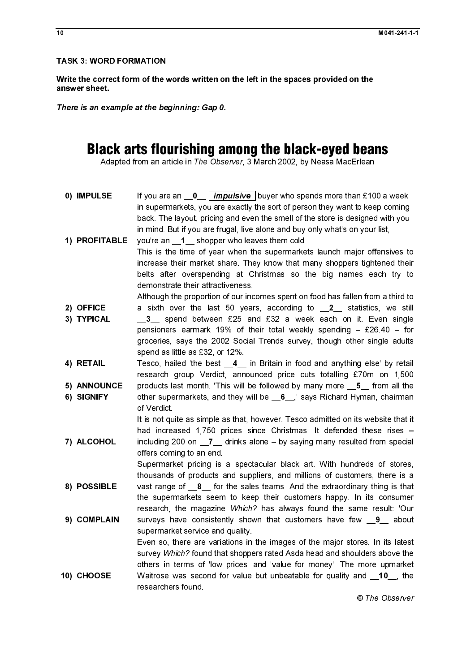### Black arts flourishing among the black-eyed beans

Adapted from an article in The Observer, 3 March 2002, by Neasa MacErlean

- in supermarkets, you are exactly the sort of person they want to keep coming back. The layout, pricing and even the smell of the store is designed with you in mind. But if you are frugal, live alone and buy only what's on your list,
- Write the correct form of the v<br>
Merite is an example at the be<br>
Black arts flo<br>
Adapted from an an<br>
0) IMPULSE If you are<br>
in superr<br>
back. The in superr<br>
back. The in mind.<br>
1) PROFITABLE you're are This is t<br>
locates<br>
l answer sheet.<br> **Black arts flourishing among the black-eyed bea**<br>
Maced from an article in The Observer. 3 Mach 2002, by Nessa MacErican<br>
(a) IMPULSE<br>
Maced from an article in The Observer. 3 Mach 2002, by Nessa MacErican There is an example and and analytical<br>
0) IMPULSE<br>
1) PROFITA<br>
2) OFFICE<br>
3) TYPICAL<br>
4) RETAIL<br>
5) ANNOUN<br>
6) SIGNIFY<br>
7) ALCOHO<br>
8) POSSIBL<br>
9) COMPLA **Black arts flourishing an**<br>Adapted from an article in *The Obse*<br>0) IMPULSE If you are an  $\frac{0}{2}$  in supermarkets, you are hack. The layout, pricing in mind. But if you are m<sub>l</sub> shopper an  $\frac{1}{2}$  work are fructions 1) PROFITAE<br>
2) OFFICE<br>
3) TYPICAL<br>
4) RETAIL<br>
5) ANNOUNC<br>
6) SIGNIFY<br>
7) ALCOHOL<br>
8) POSSIBLE<br>
9) COMPLAI 1) PROFITABLE<br>2) OFFICE<br>3) TYPICAL<br>4) RETAIL<br>5) ANNOUNCE<br>6) SIGNIFY<br>7) ALCOHOL<br>8) POSSIBLE<br>9) COMPLAIN<br>10) CHOOSE If you are an  $\Box$  <u>Impulsive</u> D buyer who spends more than £100 a week<br>in supermarkets, you are exactly the solid present the want to keep coming<br>back. The layout, pricing and even the smell of the stone is designed with you're an  $\_1$  shopper who leaves them cold.<br>This is the time of year when the supermarked bincrease their market share. They know that minicrease their market share. They know that mole allot demonstrate their attractiv This is the time of year when the supermarkets launch major offensives to increase their market share. They know that many shoppers tightened their belts after overspending at Christmas so the big names each try to demonstrate their attractiveness.

Although the proportion of our incomes spent on food has fallen from a third to

- pensioners earmark 19% of their total weekly spending – £26.40 – for groceries, says the 2002 Social Trends survey, though other single adults spend as little as £32, or 12%.
- 3) TYPICAL<br>4) RETAIL<br>6) ANNOUI<br>6) SIGNIFY<br>7) ALCOHC<br>8) POSSIBI<br>9) COMPLA 4) RETAIL<br>5) ANNOUN®<br>6) SIGNIFY<br>7) ALCOHOI<br>8) POSSIBLI<br>9) COMPLAI<br>10) CHOOSE 5) ANNOUI<br>6) SIGNIFY<br>7) ALCOH(<br>8) POSSIB<br>9) COMPL/<br>10) CHOOSI a sixth over the last 50 years, according to  $\frac{2}{2}$  statistics, we still and  $\frac{3}{2}$  spend between £25 and £32 a week each on it. Even single pensioners earmark 19% of their total weekly spending  $-$  £26.40 – for spe **3**\_ spend between £25 and £32 a week each on it. Even single<br>passiones sammark 19% of their total weekly spending – £26.40 – for<br>groceries, says the 2002 Social Trends survey, though other single adults<br>spend as little Tesco, hailed 'the best  $-4$  in Britain in food and anything else' by retail<br>research group Verdict, announced price cuts totalling  $\bar{x}$  on n 1,500<br>products last month. This will be followed by many more  $-5$  from all t research group Verdict, announced price cuts totalling £70m on 1,500 of Verdict.

It is not quite as simple as that, however. Tesco admitted on its website that it had increased 1,750 prices since Christmas. It defended these rises – offers coming to an end.

Supermarket pricing is a spectacular black art. With hundreds of stores, thousands of products and suppliers, and millions of customers, there is a the supermarkets seem to keep their customers happy. In its consumer

5) SIGNIFY<br>
5) ALCOHOL<br>
5) POSSIBLE<br>
5) COMPLAIN<br>
5) CHOOSE 7) ALCOHO<br>8) POSSIBL<br>9) COMPLA<br>10) CHOOSE 8) POSSIBLE<br>9) COMPLAIN<br>10) CHOOSE 9) COMPLAIN<br>10) CHOOSE<br>T research, the magazine *Which?* has always found the same result: 'Our<br>surveys have consistently shown that customers have few <u>9</u>\_ about supermarket service and quality.'

products last month. This will be followed by many more  $\underline{.5}$  from all the<br>of Verdict.<br>of Verdict.<br>It is not quite as simple as that, however. Tesco admitted on its website that it<br>let is not quite as simple as that, other supermarkets, and they will be  $\_6$ , 'says Richard Hyman, chairman<br>of Verdict.<br>It is not quite as simple as that, however. Tesco admitted on its website that it<br>had increased 1,750 prices since Christmas. It defend including 200 on  $\_7$  drinks alone – by saying many resulted from special<br>offers coming to an end.<br>Supermarket pricing is a spectacular black art. With hundreds of stores,<br>thousands of products and suppliers, and million vast range of  $\underline{\hspace{0.8cm}}8$  for the sales teams. And the extraordinary thing is that<br>the supermarkets seem to keep their customers happy. In its consumer<br>research, the magazine *Which?* has always found the same result: surveys have consistently shown that customers have few  $\_9$  about<br>supermarket service and quality.'<br>Even so, there are variations in the images of the major stores. In its latest<br>survey Which? found that shoppers rated )<br>10) CHOOSE<br>D Even so, there are variations in the images of the major stores. In its latest survey Which? found that shoppers rated Asda head and shoulders above the others in terms of 'low prices' and 'value for money'. The more upmarket 10) CHOOSE Waitrose was second for value but unbeatable for quality and **\_\_10\_\_**, the researchers found.  $\bullet$  *The Observer* 11) CHOOSE<br>10) CHOOSE<br>10) CHOOSE researchers found.

© The Observer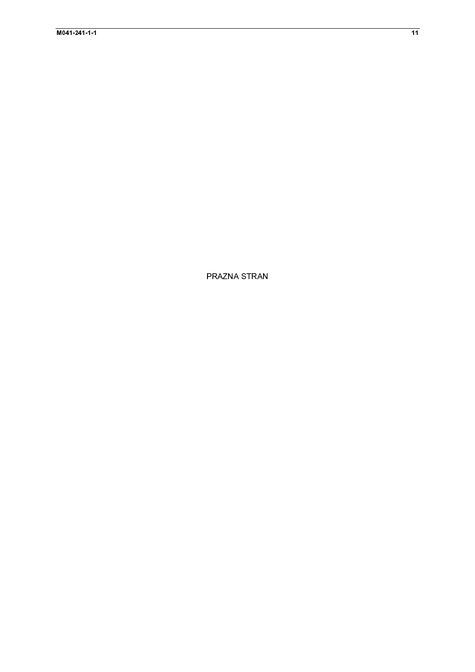PRAZNA STRAN